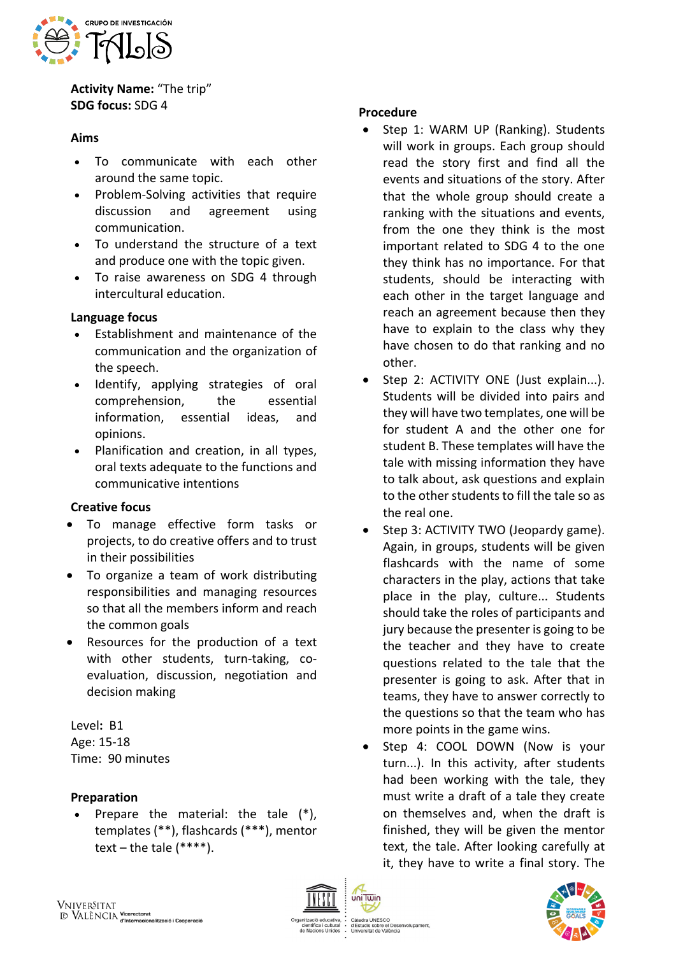

**Activity Name:** "The trip" **SDG focus:** SDG 4

### **Aims**

- To communicate with each other around the same topic.
- Problem-Solving activities that require discussion and agreement using communication.
- To understand the structure of a text and produce one with the topic given.
- To raise awareness on SDG 4 through intercultural education.

### **Language focus**

- Establishment and maintenance of the communication and the organization of the speech.
- Identify, applying strategies of oral comprehension, the essential information, essential ideas, and opinions.
- Planification and creation, in all types, oral texts adequate to the functions and communicative intentions

## **Creative focus**

- To manage effective form tasks or projects, to do creative offers and to trust in their possibilities
- To organize a team of work distributing responsibilities and managing resources so that all the members inform and reach the common goals
- Resources for the production of a text with other students, turn-taking, coevaluation, discussion, negotiation and decision making

Level**:** B1 Age: 15-18 Time: 90 minutes

## **Preparation**

Prepare the material: the tale  $(*)$ , templates (\*\*), flashcards (\*\*\*), mentor text – the tale  $(****).$ 

### **Procedure**

- Step 1: WARM UP (Ranking). Students will work in groups. Each group should read the story first and find all the events and situations of the story. After that the whole group should create a ranking with the situations and events, from the one they think is the most important related to SDG 4 to the one they think has no importance. For that students, should be interacting with each other in the target language and reach an agreement because then they have to explain to the class why they have chosen to do that ranking and no other.
- Step 2: ACTIVITY ONE (Just explain...). Students will be divided into pairs and they will have two templates, one will be for student A and the other one for student B. These templates will have the tale with missing information they have to talk about, ask questions and explain to the other students to fill the tale so as the real one.
- Step 3: ACTIVITY TWO (Jeopardy game). Again, in groups, students will be given flashcards with the name of some characters in the play, actions that take place in the play, culture... Students should take the roles of participants and jury because the presenter is going to be the teacher and they have to create questions related to the tale that the presenter is going to ask. After that in teams, they have to answer correctly to the questions so that the team who has more points in the game wins.
- Step 4: COOL DOWN (Now is your turn...). In this activity, after students had been working with the tale, they must write a draft of a tale they create on themselves and, when the draft is finished, they will be given the mentor text, the tale. After looking carefully at it, they have to write a final story. The



uis sobre el Des<br>sitat de València

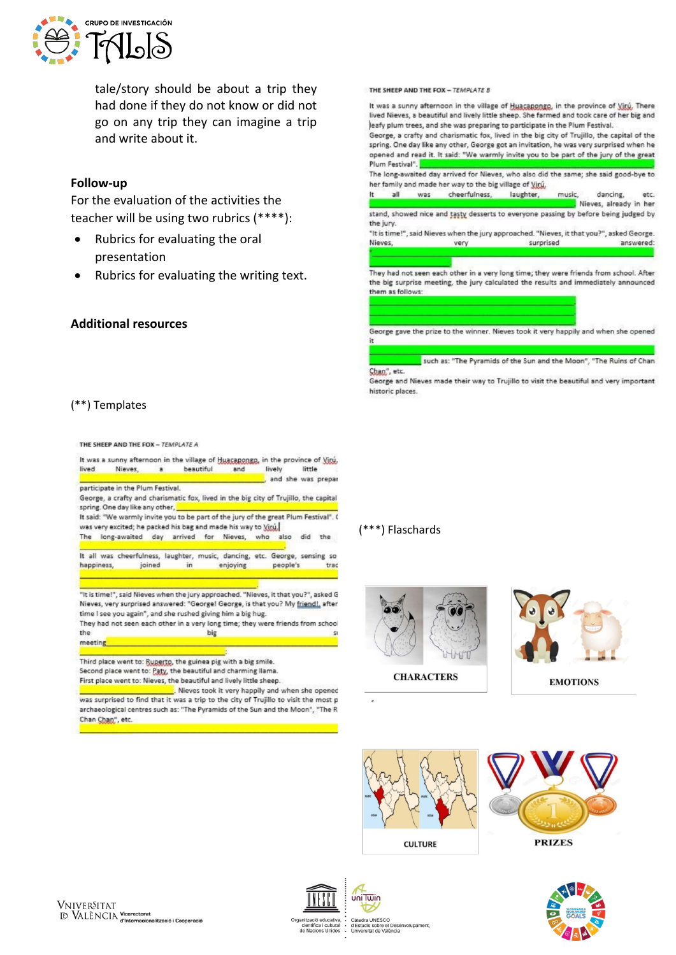

tale/story should be about a trip they had done if they do not know or did not go on any trip they can imagine a trip and write about it.

#### **Follow-up**

For the evaluation of the activities the teacher will be using two rubrics (\*\*\*\*):

- Rubrics for evaluating the oral presentation
- Rubrics for evaluating the writing text.

#### **Additional resources**

THE SHEEP AND THE FOX - TEMPLATE B

It was a sunny afternoon in the village of Huacapongo, in the province of Viru, There lived Nieves, a beautiful and lively little sheep. She farmed and took care of her big and leafy plum trees, and she was preparing to participate in the Plum Festival. George a crafty and charismatic fox lived in the big city of Truillo, the capital of the spring. One day like any other, George got an invitation, he was very surprised when he opened and read it. It said: "We warmly invite you to be part of the jury of the great Plum Festival". The long-awaited day arrived for Nieves, who also did the same; she said good-bye to her family and made her way to the big village of Viru, It all was cheerfulness, laughter, music. dancing, etc. Nieves, already in her stand, showed nice and tasty desserts to everyone passing by before being judged by the jury. "It is time!", said Nieves when the jury approached. "Nieves, it that you?", asked George.



They had not seen each other in a very long time; they were friends from school. After the big surprise meeting, the jury calculated the results and immediately announced them as follows:

George gave the prize to the winner. Nieves took it very happily and when she opened

such as: "The Pyramids of the Sun and the Moon", "The Ruins of Chan Chan", etc.

George and Nieves made their way to Trujillo to visit the beautiful and very important historic places.

### (\*\*) Templates

THE SHEEP AND THE FOX - TEMPLATE A



Third place went to: Ruperto, the guinea pig with a big smile. Second place went to: Paty, the beautiful and charming llama. First place went to: Nieves, the beautiful and lively little sheep.

Nieves took it very happily and when she opened was surprised to find that it was a trip to the city of Trujillo to visit the most p archaeological centres such as: "The Pyramids of the Sun and the Moon", "The R Chan Chan", etc.

### (\*\*\*) Flaschards





**EMOTIONS**